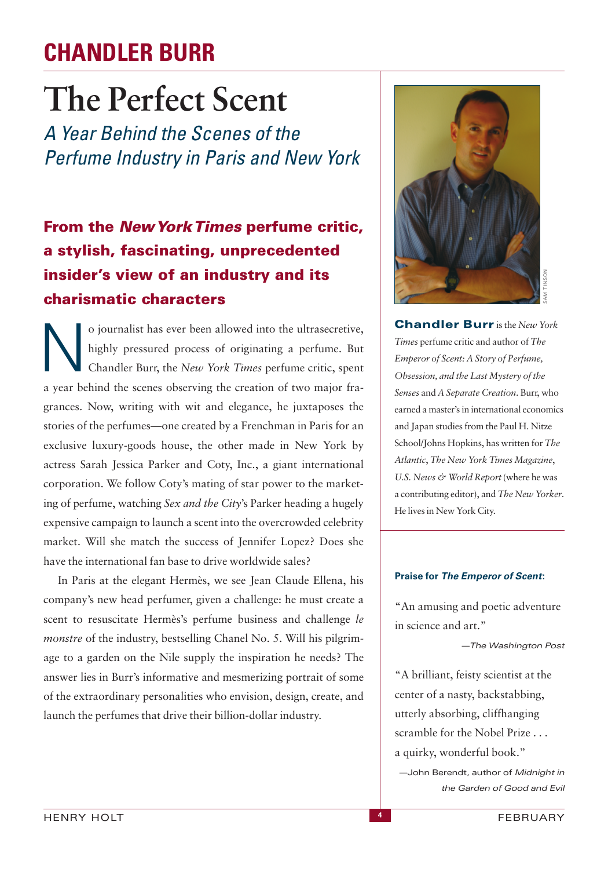## **CHANDLER BURR**

# **The Perfect Scent**

*A Year Behind the Scenes of the Perfume Industry in Paris and New York*

## **From the** *New York Times* **perfume critic, a stylish, fascinating, unprecedented insider's view of an industry and its**<br> **charismatic characters**

o journalist has ever been allowed into the ultrasecretive,<br>highly pressured process of originating a perfume. But<br>Chandler Burr, the New York Times perfume critic, spent highly pressured process of originating a perfume. But Chandler Burr, the *New York Times* perfume critic, spent a year behind the scenes observing the creation of two major fragrances. Now, writing with wit and elegance, he juxtaposes the stories of the perfumes—one created by a Frenchman in Paris for an exclusive luxury-goods house, the other made in New York by actress Sarah Jessica Parker and Coty, Inc., a giant international corporation. We follow Coty's mating of star power to the marketing of perfume, watching *Sex and the City*'s Parker heading a hugely expensive campaign to launch a scent into the overcrowded celebrity market. Will she match the success of Jennifer Lopez? Does she have the international fan base to drive worldwide sales?

In Paris at the elegant Hermès, we see Jean Claude Ellena, his company's new head perfumer, given a challenge: he must create a scent to resuscitate Hermès's perfume business and challenge *le monstre* of the industry, bestselling Chanel No. 5. Will his pilgrimage to a garden on the Nile supply the inspiration he needs? The answer lies in Burr's informative and mesmerizing portrait of some of the extraordinary personalities who envision, design, create, and launch the perfumes that drive their billion-dollar industry.



**Chandler Burr** is the *New York Times* perfume critic and author of *The Emperor of Scent: A Story of Perfume, Obsession, and the Last Mystery of the Senses* and *A Separate Creation*. Burr, who earned a master's in international economics and Japan studies from the Paul H. Nitze School/Johns Hopkins, has written for *The Atlantic*, *The New York Times Magazine*, *U.S. News & World Report* (where he was a contributing editor), and *The New Yorker*. He lives in New York City.

#### **Praise for** *The Emperor of Scent***:**

"An amusing and poetic adventure in science and art."

—*The Washington Post*

"A brilliant, feisty scientist at the center of a nasty, backstabbing, utterly absorbing, cliffhanging scramble for the Nobel Prize . . . a quirky, wonderful book."

—John Berendt, author of *Midnight in the Garden of Good and Evil*